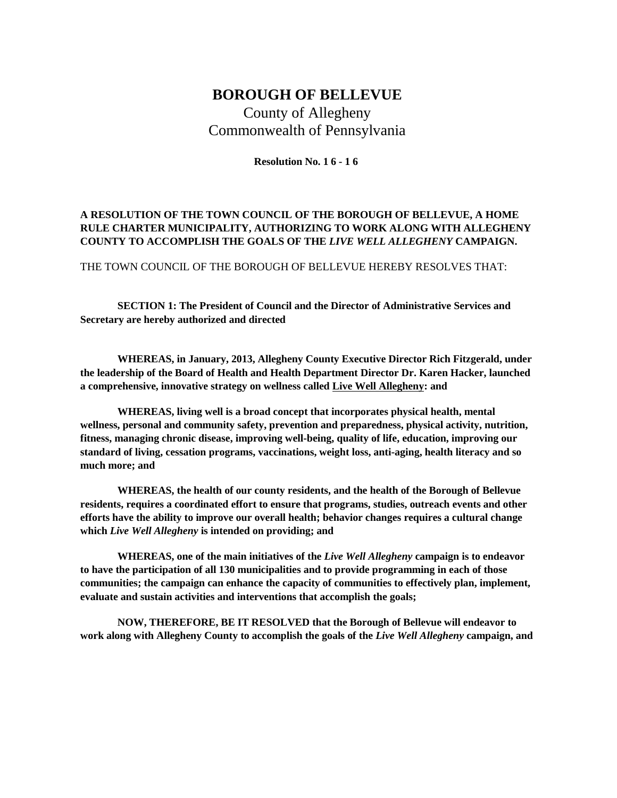## **BOROUGH OF BELLEVUE**

County of Allegheny Commonwealth of Pennsylvania

**Resolution No. 1 6 - 1 6**

## **A RESOLUTION OF THE TOWN COUNCIL OF THE BOROUGH OF BELLEVUE, A HOME RULE CHARTER MUNICIPALITY, AUTHORIZING TO WORK ALONG WITH ALLEGHENY COUNTY TO ACCOMPLISH THE GOALS OF THE** *LIVE WELL ALLEGHENY* **CAMPAIGN.**

THE TOWN COUNCIL OF THE BOROUGH OF BELLEVUE HEREBY RESOLVES THAT:

**SECTION 1: The President of Council and the Director of Administrative Services and Secretary are hereby authorized and directed**

**WHEREAS, in January, 2013, Allegheny County Executive Director Rich Fitzgerald, under the leadership of the Board of Health and Health Department Director Dr. Karen Hacker, launched a comprehensive, innovative strategy on wellness called Live Well Allegheny: and**

**WHEREAS, living well is a broad concept that incorporates physical health, mental wellness, personal and community safety, prevention and preparedness, physical activity, nutrition, fitness, managing chronic disease, improving well-being, quality of life, education, improving our standard of living, cessation programs, vaccinations, weight loss, anti-aging, health literacy and so much more; and**

**WHEREAS, the health of our county residents, and the health of the Borough of Bellevue residents, requires a coordinated effort to ensure that programs, studies, outreach events and other efforts have the ability to improve our overall health; behavior changes requires a cultural change which** *Live Well Allegheny* **is intended on providing; and**

**WHEREAS, one of the main initiatives of the** *Live Well Allegheny* **campaign is to endeavor to have the participation of all 130 municipalities and to provide programming in each of those communities; the campaign can enhance the capacity of communities to effectively plan, implement, evaluate and sustain activities and interventions that accomplish the goals;**

**NOW, THEREFORE, BE IT RESOLVED that the Borough of Bellevue will endeavor to work along with Allegheny County to accomplish the goals of the** *Live Well Allegheny* **campaign, and**